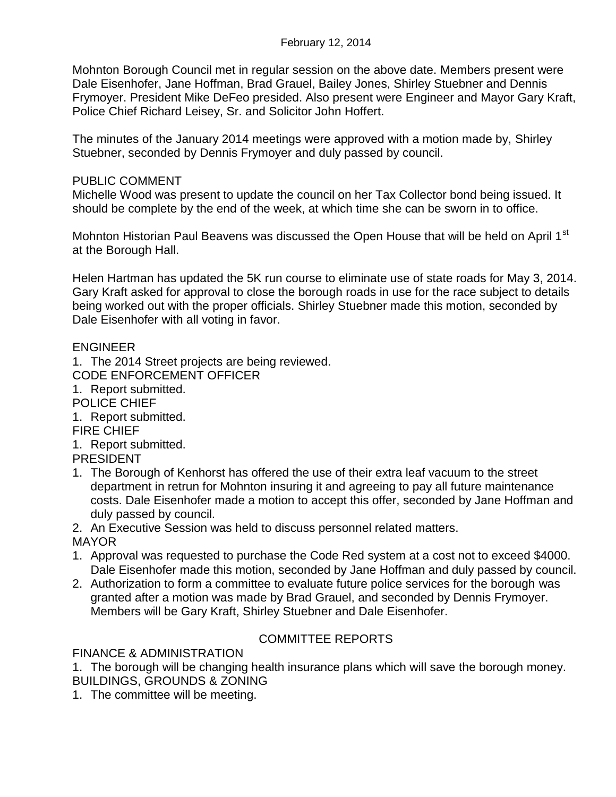Mohnton Borough Council met in regular session on the above date. Members present were Dale Eisenhofer, Jane Hoffman, Brad Grauel, Bailey Jones, Shirley Stuebner and Dennis Frymoyer. President Mike DeFeo presided. Also present were Engineer and Mayor Gary Kraft, Police Chief Richard Leisey, Sr. and Solicitor John Hoffert.

The minutes of the January 2014 meetings were approved with a motion made by, Shirley Stuebner, seconded by Dennis Frymoyer and duly passed by council.

## PUBLIC COMMENT

Michelle Wood was present to update the council on her Tax Collector bond being issued. It should be complete by the end of the week, at which time she can be sworn in to office.

Mohnton Historian Paul Beavens was discussed the Open House that will be held on April 1<sup>st</sup> at the Borough Hall.

Helen Hartman has updated the 5K run course to eliminate use of state roads for May 3, 2014. Gary Kraft asked for approval to close the borough roads in use for the race subject to details being worked out with the proper officials. Shirley Stuebner made this motion, seconded by Dale Eisenhofer with all voting in favor.

## ENGINEER

1. The 2014 Street projects are being reviewed.

- CODE ENFORCEMENT OFFICER
- 1. Report submitted.
- POLICE CHIEF

1. Report submitted.

## FIRE CHIEF

1. Report submitted. PRESIDENT

1. The Borough of Kenhorst has offered the use of their extra leaf vacuum to the street department in retrun for Mohnton insuring it and agreeing to pay all future maintenance costs. Dale Eisenhofer made a motion to accept this offer, seconded by Jane Hoffman and duly passed by council.

2. An Executive Session was held to discuss personnel related matters.

MAYOR

- 1. Approval was requested to purchase the Code Red system at a cost not to exceed \$4000. Dale Eisenhofer made this motion, seconded by Jane Hoffman and duly passed by council.
- 2. Authorization to form a committee to evaluate future police services for the borough was granted after a motion was made by Brad Grauel, and seconded by Dennis Frymoyer. Members will be Gary Kraft, Shirley Stuebner and Dale Eisenhofer.

# COMMITTEE REPORTS

FINANCE & ADMINISTRATION

1. The borough will be changing health insurance plans which will save the borough money. BUILDINGS, GROUNDS & ZONING

1. The committee will be meeting.